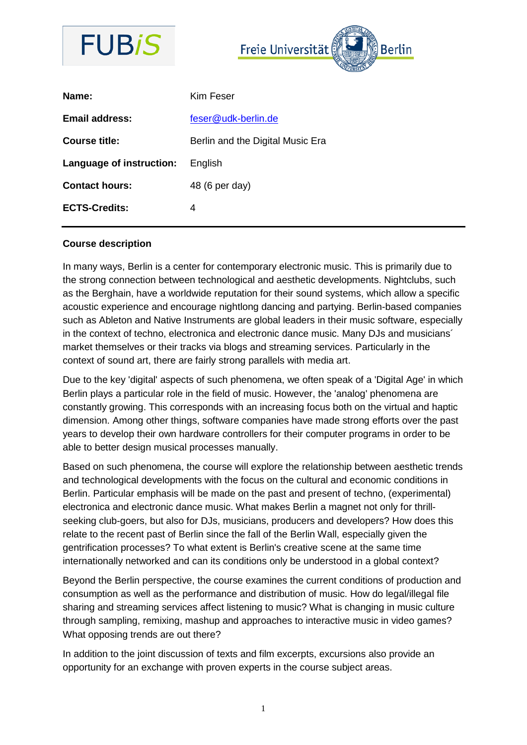



#### **Course description**

In many ways, Berlin is a center for contemporary electronic music. This is primarily due to the strong connection between technological and aesthetic developments. Nightclubs, such as the Berghain, have a worldwide reputation for their sound systems, which allow a specific acoustic experience and encourage nightlong dancing and partying. Berlin-based companies such as Ableton and Native Instruments are global leaders in their music software, especially in the context of techno, electronica and electronic dance music. Many DJs and musicians´ market themselves or their tracks via blogs and streaming services. Particularly in the context of sound art, there are fairly strong parallels with media art.

Due to the key 'digital' aspects of such phenomena, we often speak of a 'Digital Age' in which Berlin plays a particular role in the field of music. However, the 'analog' phenomena are constantly growing. This corresponds with an increasing focus both on the virtual and haptic dimension. Among other things, software companies have made strong efforts over the past years to develop their own hardware controllers for their computer programs in order to be able to better design musical processes manually.

Based on such phenomena, the course will explore the relationship between aesthetic trends and technological developments with the focus on the cultural and economic conditions in Berlin. Particular emphasis will be made on the past and present of techno, (experimental) electronica and electronic dance music. What makes Berlin a magnet not only for thrillseeking club-goers, but also for DJs, musicians, producers and developers? How does this relate to the recent past of Berlin since the fall of the Berlin Wall, especially given the gentrification processes? To what extent is Berlin's creative scene at the same time internationally networked and can its conditions only be understood in a global context?

Beyond the Berlin perspective, the course examines the current conditions of production and consumption as well as the performance and distribution of music. How do legal/illegal file sharing and streaming services affect listening to music? What is changing in music culture through sampling, remixing, mashup and approaches to interactive music in video games? What opposing trends are out there?

In addition to the joint discussion of texts and film excerpts, excursions also provide an opportunity for an exchange with proven experts in the course subject areas.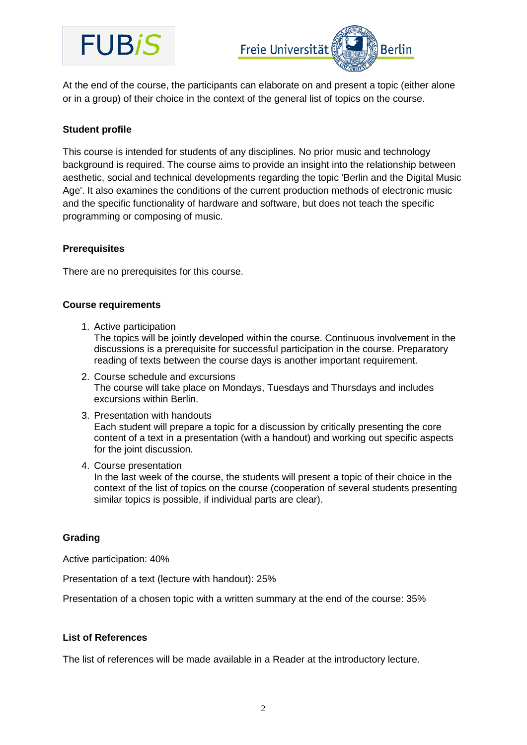# **FUBIS**



At the end of the course, the participants can elaborate on and present a topic (either alone or in a group) of their choice in the context of the general list of topics on the course.

## **Student profile**

This course is intended for students of any disciplines. No prior music and technology background is required. The course aims to provide an insight into the relationship between aesthetic, social and technical developments regarding the topic 'Berlin and the Digital Music Age'. It also examines the conditions of the current production methods of electronic music and the specific functionality of hardware and software, but does not teach the specific programming or composing of music.

### **Prerequisites**

There are no prerequisites for this course.

### **Course requirements**

1. Active participation

The topics will be jointly developed within the course. Continuous involvement in the discussions is a prerequisite for successful participation in the course. Preparatory reading of texts between the course days is another important requirement.

- 2. Course schedule and excursions The course will take place on Mondays, Tuesdays and Thursdays and includes excursions within Berlin.
- 3. Presentation with handouts Each student will prepare a topic for a discussion by critically presenting the core content of a text in a presentation (with a handout) and working out specific aspects for the joint discussion.
- 4. Course presentation In the last week of the course, the students will present a topic of their choice in the context of the list of topics on the course (cooperation of several students presenting similar topics is possible, if individual parts are clear).

### **Grading**

Active participation: 40%

Presentation of a text (lecture with handout): 25%

Presentation of a chosen topic with a written summary at the end of the course: 35%

#### **List of References**

The list of references will be made available in a Reader at the introductory lecture.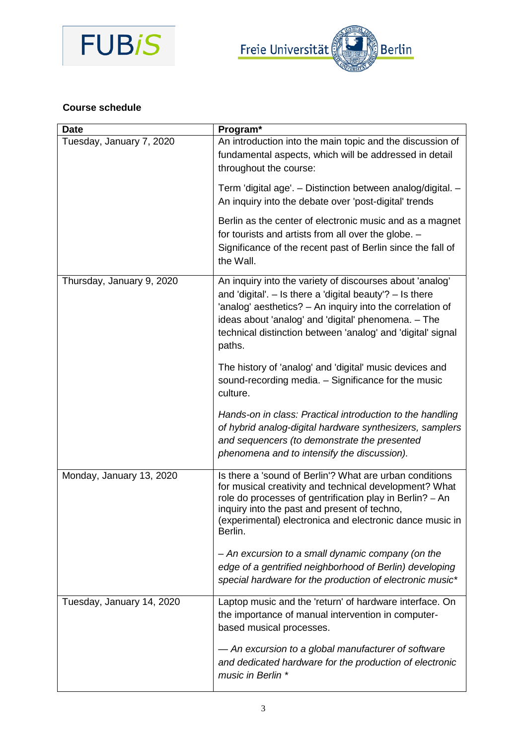



## **Course schedule**

| <b>Date</b>               | Program*                                                                                                                                                                                                                                                                                                              |
|---------------------------|-----------------------------------------------------------------------------------------------------------------------------------------------------------------------------------------------------------------------------------------------------------------------------------------------------------------------|
| Tuesday, January 7, 2020  | An introduction into the main topic and the discussion of<br>fundamental aspects, which will be addressed in detail<br>throughout the course:                                                                                                                                                                         |
|                           | Term 'digital age'. - Distinction between analog/digital. -<br>An inquiry into the debate over 'post-digital' trends                                                                                                                                                                                                  |
|                           | Berlin as the center of electronic music and as a magnet<br>for tourists and artists from all over the globe. -<br>Significance of the recent past of Berlin since the fall of<br>the Wall.                                                                                                                           |
| Thursday, January 9, 2020 | An inquiry into the variety of discourses about 'analog'<br>and 'digital'. $-$ Is there a 'digital beauty'? $-$ Is there<br>'analog' aesthetics? - An inquiry into the correlation of<br>ideas about 'analog' and 'digital' phenomena. - The<br>technical distinction between 'analog' and 'digital' signal<br>paths. |
|                           | The history of 'analog' and 'digital' music devices and<br>sound-recording media. - Significance for the music<br>culture.                                                                                                                                                                                            |
|                           | Hands-on in class: Practical introduction to the handling<br>of hybrid analog-digital hardware synthesizers, samplers<br>and sequencers (to demonstrate the presented<br>phenomena and to intensify the discussion).                                                                                                  |
| Monday, January 13, 2020  | Is there a 'sound of Berlin'? What are urban conditions<br>for musical creativity and technical development? What<br>role do processes of gentrification play in Berlin? - An<br>inquiry into the past and present of techno,<br>(experimental) electronica and electronic dance music in<br>Berlin.                  |
|                           | - An excursion to a small dynamic company (on the<br>edge of a gentrified neighborhood of Berlin) developing<br>special hardware for the production of electronic music*                                                                                                                                              |
| Tuesday, January 14, 2020 | Laptop music and the 'return' of hardware interface. On<br>the importance of manual intervention in computer-<br>based musical processes.                                                                                                                                                                             |
|                           | - An excursion to a global manufacturer of software<br>and dedicated hardware for the production of electronic<br>music in Berlin *                                                                                                                                                                                   |